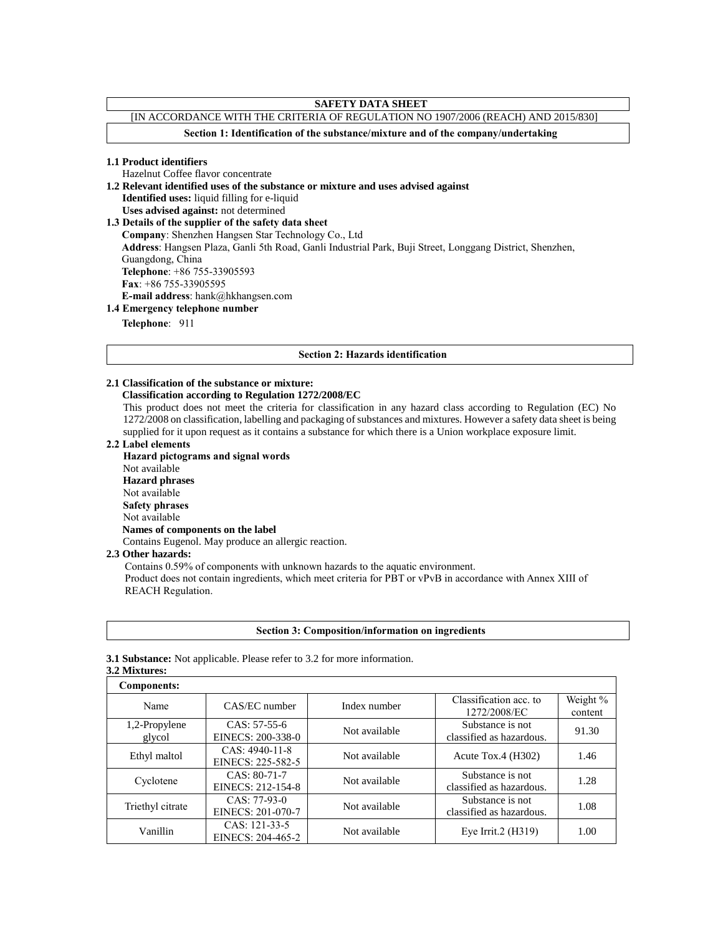## **SAFETY DATA SHEET**

# [IN ACCORDANCE WITH THE CRITERIA OF REGULATION NO 1907/2006 (REACH) AND 2015/830]

**Section 1: Identification of the substance/mixture and of the company/undertaking**

#### **1.1 Product identifiers**

Hazelnut Coffee flavor concentrate

**1.2 Relevant identified uses of the substance or mixture and uses advised against**

**Identified uses:** liquid filling for e-liquid **Uses advised against:** not determined

**1.3 Details of the supplier of the safety data sheet**

**Company**: Shenzhen Hangsen Star Technology Co., Ltd

**Address**: Hangsen Plaza, Ganli 5th Road, Ganli Industrial Park, Buji Street, Longgang District, Shenzhen,

Guangdong, China

**Telephone**: +86 755-33905593

**Fax**: +86 755-33905595

**E-mail address**: hank@hkhangsen.com

## **1.4 Emergency telephone number**

**Telephone**: 911

#### **Section 2: Hazards identification**

## **2.1 Classification of the substance or mixture:**

## **Classification according to Regulation 1272/2008/EC**

This product does not meet the criteria for classification in any hazard class according to Regulation (EC) No 1272/2008 on classification, labelling and packaging of substances and mixtures. However a safety data sheet is being supplied for it upon request as it contains a substance for which there is a Union workplace exposure limit.

**2.2 Label elements**

**Hazard pictograms and signal words** Not available **Hazard phrases** Not available **Safety phrases** Not available  **Names of components on the label** Contains Eugenol. May produce an allergic reaction.

#### **2.3 Other hazards:**

Contains 0.59% of components with unknown hazards to the aquatic environment. Product does not contain ingredients, which meet criteria for PBT or vPvB in accordance with Annex XIII of REACH Regulation.

|  |  | <b>Section 3: Composition/information on ingredients</b> |  |  |
|--|--|----------------------------------------------------------|--|--|
|  |  |                                                          |  |  |

## **3.1 Substance:** Not applicable. Please refer to 3.2 for more information.

## **3.2 Mixtures:**

| <b>Components:</b> |                   |               |                                        |                     |  |
|--------------------|-------------------|---------------|----------------------------------------|---------------------|--|
| Name               | CAS/EC number     | Index number  | Classification acc. to<br>1272/2008/EC | Weight %<br>content |  |
|                    |                   |               |                                        |                     |  |
| 1,2-Propylene      | $CAS: 57-55-6$    | Not available | Substance is not                       | 91.30               |  |
| glycol             | EINECS: 200-338-0 |               | classified as hazardous.               |                     |  |
|                    | CAS: 4940-11-8    |               | Acute Tox.4 $(H302)$                   |                     |  |
| Ethyl maltol       | EINECS: 225-582-5 | Not available |                                        | 1.46                |  |
|                    | CAS: 80-71-7      |               | Substance is not                       |                     |  |
| Cyclotene          | EINECS: 212-154-8 | Not available | classified as hazardous.               | 1.28                |  |
|                    | $CAS: 77-93-0$    |               | Substance is not                       |                     |  |
| Triethyl citrate   | EINECS: 201-070-7 | Not available | classified as hazardous.               | 1.08                |  |
| Vanillin           | CAS: 121-33-5     | Not available |                                        | 1.00                |  |
|                    | EINECS: 204-465-2 |               | Eye Irrit. $2$ (H $319$ )              |                     |  |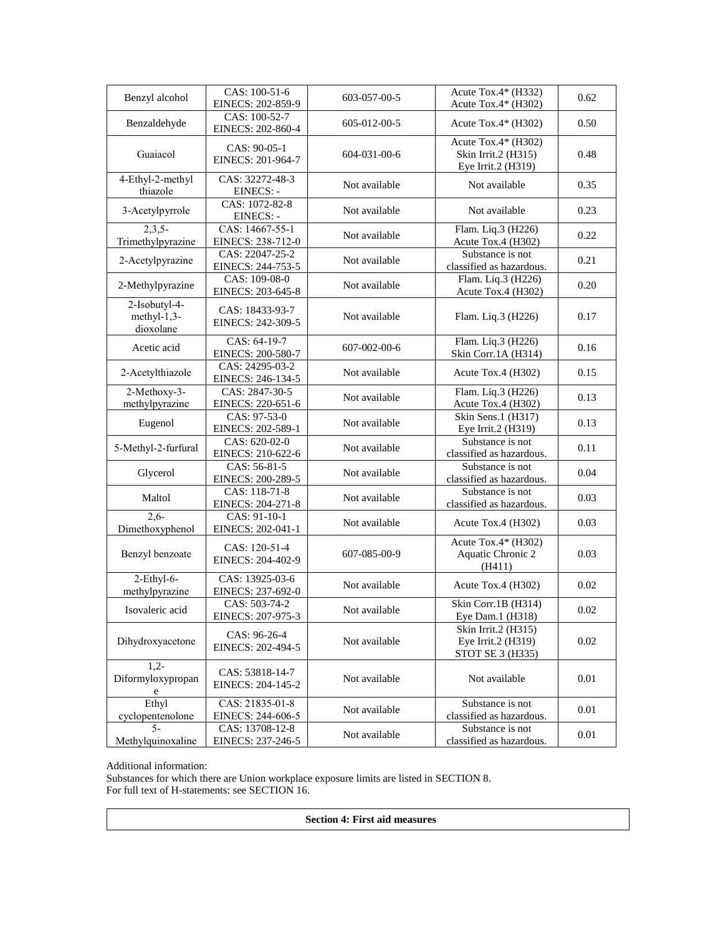| CAS: 100-51-6<br>Acute Tox.4* (H332)                                                                                                    |      |
|-----------------------------------------------------------------------------------------------------------------------------------------|------|
| Benzyl alcohol<br>603-057-00-5<br>Acute Tox.4* (H302)<br>EINECS: 202-859-9                                                              | 0.62 |
| CAS: 100-52-7<br>Benzaldehyde<br>605-012-00-5<br>Acute Tox.4* (H302)<br>EINECS: 202-860-4                                               | 0.50 |
| Acute Tox.4* (H302)<br>CAS: 90-05-1<br>Guaiacol<br>604-031-00-6<br>Skin Irrit.2 (H315)<br>EINECS: 201-964-7<br>Eye Irrit.2 (H319)       | 0.48 |
| 4-Ethyl-2-methyl<br>CAS: 32272-48-3<br>Not available<br>Not available<br>thiazole<br>EINECS: -                                          | 0.35 |
| CAS: 1072-82-8<br>3-Acetylpyrrole<br>Not available<br>Not available<br>EINECS: -                                                        | 0.23 |
| $2,3,5-$<br>CAS: 14667-55-1<br>Flam. Liq.3 (H226)<br>Not available<br>Trimethylpyrazine<br>EINECS: 238-712-0<br>Acute Tox.4 (H302)      | 0.22 |
| Substance is not<br>CAS: 22047-25-2<br>2-Acetylpyrazine<br>Not available<br>EINECS: 244-753-5<br>classified as hazardous.               | 0.21 |
| CAS: 109-08-0<br>Flam. Liq.3 (H226)<br>2-Methylpyrazine<br>Not available<br>EINECS: 203-645-8<br>Acute Tox.4 (H302)                     | 0.20 |
| 2-Isobutyl-4-<br>CAS: 18433-93-7<br>$methyl-1,3-$<br>Not available<br>Flam. Liq.3 (H226)<br>EINECS: 242-309-5<br>dioxolane              | 0.17 |
| Flam. Liq.3 (H226)<br>CAS: 64-19-7<br>Acetic acid<br>607-002-00-6<br>Skin Corr.1A (H314)<br>EINECS: 200-580-7                           | 0.16 |
| CAS: 24295-03-2<br>2-Acetylthiazole<br>Not available<br>Acute Tox.4 (H302)<br>EINECS: 246-134-5                                         | 0.15 |
| 2-Methoxy-3-<br>CAS: 2847-30-5<br>Flam. Liq.3 (H226)<br>Not available<br>methylpyrazine<br>EINECS: 220-651-6<br>Acute Tox.4 (H302)      | 0.13 |
| CAS: 97-53-0<br>Skin Sens.1 (H317)<br>Eugenol<br>Not available<br>EINECS: 202-589-1<br>Eye Irrit.2 (H319)                               | 0.13 |
| Substance is not<br>CAS: 620-02-0<br>5-Methyl-2-furfural<br>Not available<br>EINECS: 210-622-6<br>classified as hazardous.              | 0.11 |
| CAS: 56-81-5<br>Substance is not<br>Glycerol<br>Not available<br>EINECS: 200-289-5<br>classified as hazardous.                          | 0.04 |
| CAS: 118-71-8<br>Substance is not<br>Maltol<br>Not available<br>EINECS: 204-271-8<br>classified as hazardous.                           | 0.03 |
| $2,6-$<br>CAS: 91-10-1<br>Not available<br>Acute Tox.4 (H302)<br>Dimethoxyphenol<br>EINECS: 202-041-1                                   | 0.03 |
| Acute Tox.4* (H302)<br>CAS: 120-51-4<br>Aquatic Chronic 2<br>Benzyl benzoate<br>607-085-00-9<br>EINECS: 204-402-9<br>(H411)             | 0.03 |
| $2$ -Ethyl-6-<br>CAS: 13925-03-6<br>Not available<br>Acute Tox.4 (H302)<br>methylpyrazine<br>EINECS: 237-692-0                          | 0.02 |
| CAS: 503-74-2<br>Skin Corr.1B (H314)<br>Isovaleric acid<br>Not available<br>EINECS: 207-975-3<br>Eye Dam.1 (H318)                       | 0.02 |
| Skin Irrit.2 (H315)<br>CAS: 96-26-4<br>Dihydroxyacetone<br>Not available<br>Eye Irrit.2 (H319)<br>EINECS: 202-494-5<br>STOT SE 3 (H335) | 0.02 |
| $1,2-$<br>CAS: 53818-14-7<br>Diformyloxypropan<br>Not available<br>Not available<br>EINECS: 204-145-2<br>e                              | 0.01 |
| Ethyl<br>CAS: 21835-01-8<br>Substance is not<br>Not available<br>cyclopentenolone<br>EINECS: 244-606-5<br>classified as hazardous.      | 0.01 |
| $5-$<br>Substance is not<br>CAS: 13708-12-8<br>Not available<br>classified as hazardous.<br>Methylquinoxaline<br>EINECS: 237-246-5      | 0.01 |

#### Additional information:

Substances for which there are Union workplace exposure limits are listed in SECTION 8. For full text of H-statements: see SECTION 16.

**Section 4: First aid measures**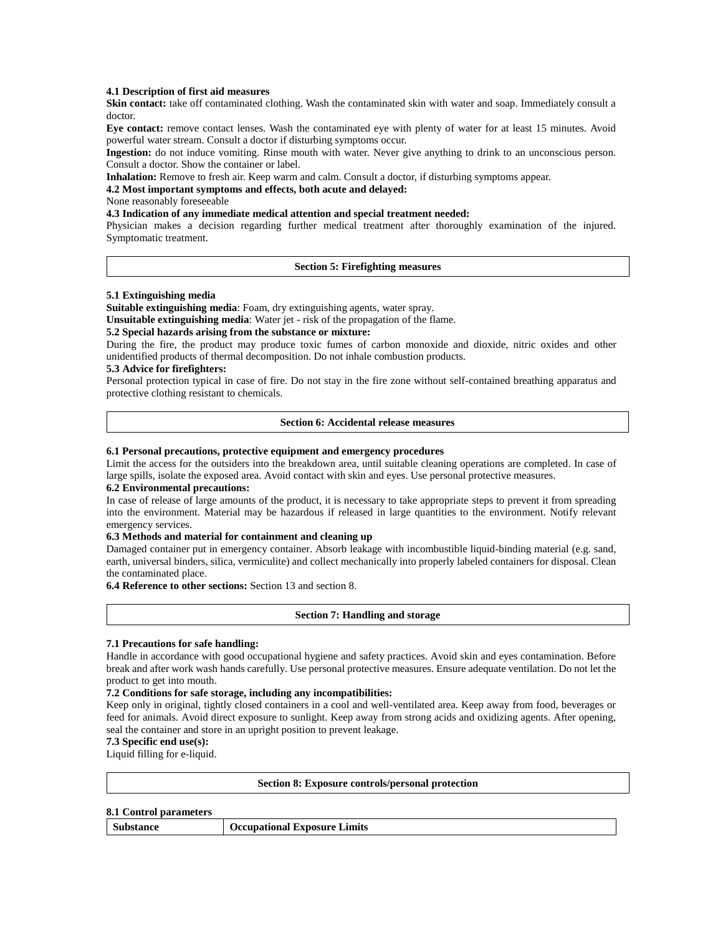### **4.1 Description of first aid measures**

**Skin contact:** take off contaminated clothing. Wash the contaminated skin with water and soap. Immediately consult a doctor.

**Eye contact:** remove contact lenses. Wash the contaminated eye with plenty of water for at least 15 minutes. Avoid powerful water stream. Consult a doctor if disturbing symptoms occur.

**Ingestion:** do not induce vomiting. Rinse mouth with water. Never give anything to drink to an unconscious person. Consult a doctor. Show the container or label.

**Inhalation:** Remove to fresh air. Keep warm and calm. Consult a doctor, if disturbing symptoms appear.

**4.2 Most important symptoms and effects, both acute and delayed:** 

None reasonably foreseeable

## **4.3 Indication of any immediate medical attention and special treatment needed:**

Physician makes a decision regarding further medical treatment after thoroughly examination of the injured. Symptomatic treatment.

### **Section 5: Firefighting measures**

#### **5.1 Extinguishing media**

**Suitable extinguishing media**: Foam, dry extinguishing agents, water spray.

**Unsuitable extinguishing media**: Water jet - risk of the propagation of the flame.

## **5.2 Special hazards arising from the substance or mixture:**

During the fire, the product may produce toxic fumes of carbon monoxide and dioxide, nitric oxides and other unidentified products of thermal decomposition. Do not inhale combustion products.

## **5.3 Advice for firefighters:**

Personal protection typical in case of fire. Do not stay in the fire zone without self-contained breathing apparatus and protective clothing resistant to chemicals.

#### **Section 6: Accidental release measures**

#### **6.1 Personal precautions, protective equipment and emergency procedures**

Limit the access for the outsiders into the breakdown area, until suitable cleaning operations are completed. In case of large spills, isolate the exposed area. Avoid contact with skin and eyes. Use personal protective measures.

#### **6.2 Environmental precautions:**

In case of release of large amounts of the product, it is necessary to take appropriate steps to prevent it from spreading into the environment. Material may be hazardous if released in large quantities to the environment. Notify relevant emergency services.

#### **6.3 Methods and material for containment and cleaning up**

Damaged container put in emergency container. Absorb leakage with incombustible liquid-binding material (e.g. sand, earth, universal binders, silica, vermiculite) and collect mechanically into properly labeled containers for disposal. Clean the contaminated place.

**6.4 Reference to other sections:** Section 13 and section 8.

### **Section 7: Handling and storage**

#### **7.1 Precautions for safe handling:**

Handle in accordance with good occupational hygiene and safety practices. Avoid skin and eyes contamination. Before break and after work wash hands carefully. Use personal protective measures. Ensure adequate ventilation. Do not let the product to get into mouth.

#### **7.2 Conditions for safe storage, including any incompatibilities:**

Keep only in original, tightly closed containers in a cool and well-ventilated area. Keep away from food, beverages or feed for animals. Avoid direct exposure to sunlight. Keep away from strong acids and oxidizing agents. After opening, seal the container and store in an upright position to prevent leakage.

## **7.3 Specific end use(s):**

Liquid filling for e-liquid.

#### **Section 8: Exposure controls/personal protection**

#### **8.1 Control parameters**

| Substance | <b>Occupational Exposure Limits</b> |
|-----------|-------------------------------------|
|-----------|-------------------------------------|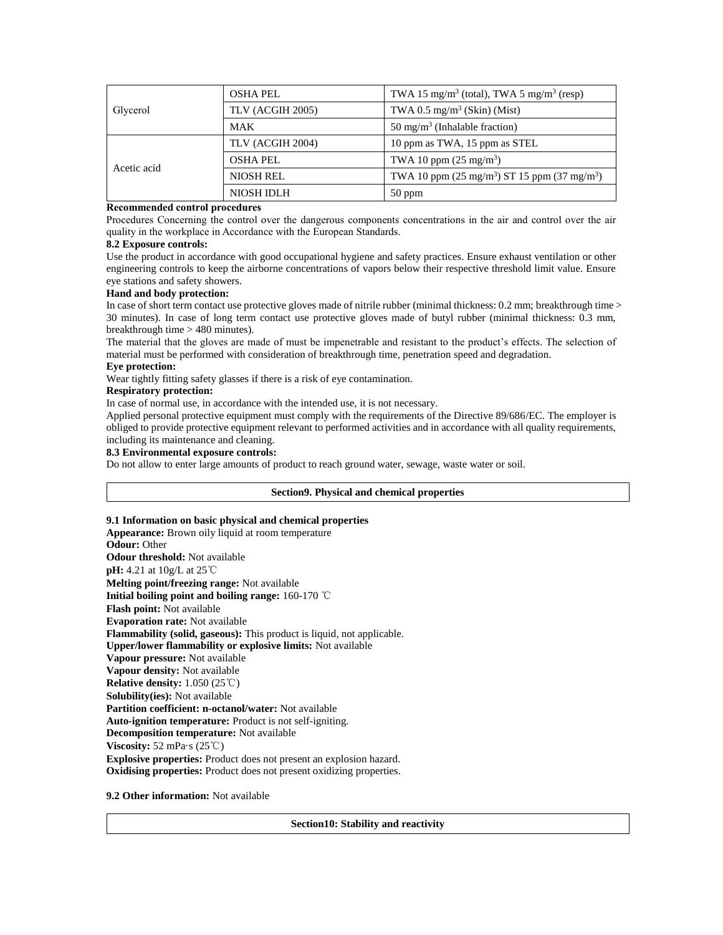|             | <b>OSHA PEL</b>  | TWA 15 mg/m <sup>3</sup> (total), TWA 5 mg/m <sup>3</sup> (resp) |
|-------------|------------------|------------------------------------------------------------------|
| Glycerol    | TLV (ACGIH 2005) | TWA 0.5 mg/m <sup>3</sup> (Skin) (Mist)                          |
|             | <b>MAK</b>       | 50 mg/m <sup>3</sup> (Inhalable fraction)                        |
|             | TLV (ACGIH 2004) | 10 ppm as TWA, 15 ppm as STEL                                    |
| Acetic acid | <b>OSHA PEL</b>  | TWA 10 ppm $(25 \text{ mg/m}^3)$                                 |
|             | <b>NIOSH REL</b> | TWA 10 ppm $(25 \text{ mg/m}^3)$ ST 15 ppm $(37 \text{ mg/m}^3)$ |
|             | NIOSH IDLH       | $50$ ppm                                                         |

### **Recommended control procedures**

Procedures Concerning the control over the dangerous components concentrations in the air and control over the air quality in the workplace in Accordance with the European Standards.

#### **8.2 Exposure controls:**

Use the product in accordance with good occupational hygiene and safety practices. Ensure exhaust ventilation or other engineering controls to keep the airborne concentrations of vapors below their respective threshold limit value. Ensure eye stations and safety showers.

## **Hand and body protection:**

In case of short term contact use protective gloves made of nitrile rubber (minimal thickness: 0.2 mm; breakthrough time > 30 minutes). In case of long term contact use protective gloves made of butyl rubber (minimal thickness: 0.3 mm, breakthrough time > 480 minutes).

The material that the gloves are made of must be impenetrable and resistant to the product's effects. The selection of material must be performed with consideration of breakthrough time, penetration speed and degradation.

### **Eye protection:**

Wear tightly fitting safety glasses if there is a risk of eye contamination.

### **Respiratory protection:**

In case of normal use, in accordance with the intended use, it is not necessary.

Applied personal protective equipment must comply with the requirements of the Directive 89/686/EC. The employer is obliged to provide protective equipment relevant to performed activities and in accordance with all quality requirements, including its maintenance and cleaning.

#### **8.3 Environmental exposure controls:**

Do not allow to enter large amounts of product to reach ground water, sewage, waste water or soil.

#### **Section9. Physical and chemical properties**

### **9.1 Information on basic physical and chemical properties**

**Appearance:** Brown oily liquid at room temperature **Odour:** Other **Odour threshold:** Not available **pH:** 4.21 at 10g/L at 25℃ **Melting point/freezing range:** Not available **Initial boiling point and boiling range:** 160-170 ℃ **Flash point:** Not available **Evaporation rate:** Not available **Flammability (solid, gaseous):** This product is liquid, not applicable. **Upper/lower flammability or explosive limits:** Not available **Vapour pressure:** Not available **Vapour density:** Not available **Relative density:** 1.050 (25℃) **Solubility(ies):** Not available **Partition coefficient: n-octanol/water:** Not available **Auto-ignition temperature:** Product is not self-igniting. **Decomposition temperature:** Not available **Viscosity:** 52 mPa·s (25℃) **Explosive properties:** Product does not present an explosion hazard. **Oxidising properties:** Product does not present oxidizing properties.

### **9.2 Other information:** Not available

**Section10: Stability and reactivity**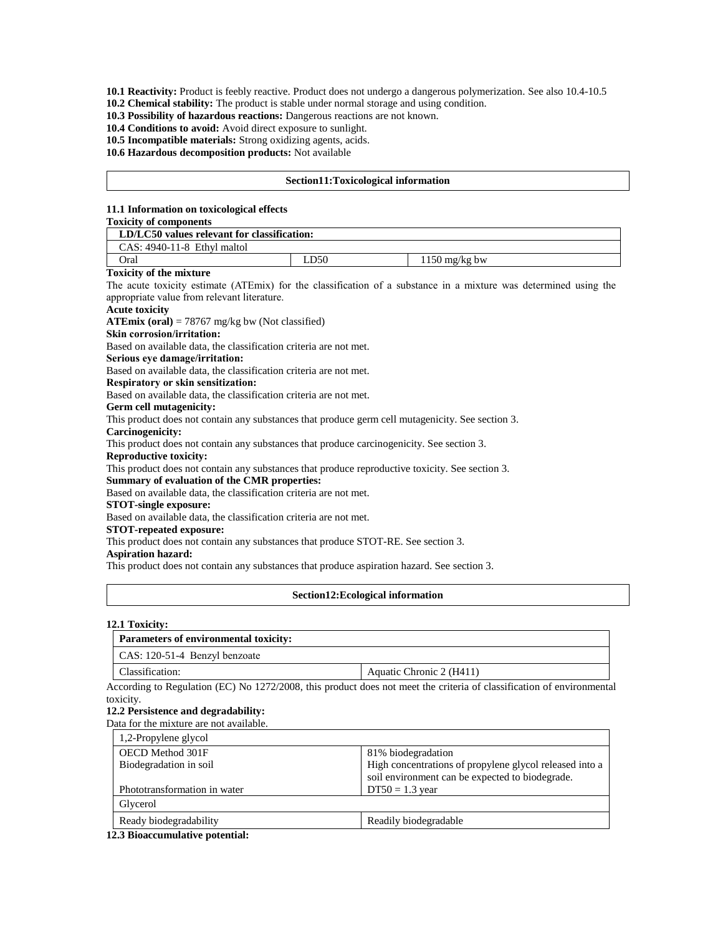**10.1 Reactivity:** Product is feebly reactive. Product does not undergo a dangerous polymerization. See also 10.4-10.5

**10.2 Chemical stability:** The product is stable under normal storage and using condition.

**10.3 Possibility of hazardous reactions:** Dangerous reactions are not known.

**10.4 Conditions to avoid:** Avoid direct exposure to sunlight.

**10.5 Incompatible materials:** Strong oxidizing agents, acids.

**10.6 Hazardous decomposition products:** Not available

### **Section11:Toxicological information**

#### **11.1 Information on toxicological effects**

### **Toxicity of components**

| LD/LC50 values relevant for classification: |  |  |  |  |
|---------------------------------------------|--|--|--|--|
| $CAS: 4940-11-8$ Ethyl maltol               |  |  |  |  |
| Oral<br>LD50<br>$1150 \text{ mg/kg}$ bw     |  |  |  |  |

#### **Toxicity of the mixture**

The acute toxicity estimate (ATEmix) for the classification of a substance in a mixture was determined using the appropriate value from relevant literature.

## **Acute toxicity**

**ATEmix (oral)** = 78767 mg/kg bw (Not classified)

### **Skin corrosion/irritation:**

Based on available data, the classification criteria are not met.

### **Serious eye damage/irritation:**

Based on available data, the classification criteria are not met.

**Respiratory or skin sensitization:**

Based on available data, the classification criteria are not met.

#### **Germ cell mutagenicity:**

This product does not contain any substances that produce germ cell mutagenicity. See section 3.

**Carcinogenicity:**

This product does not contain any substances that produce carcinogenicity. See section 3.

### **Reproductive toxicity:**

This product does not contain any substances that produce reproductive toxicity. See section 3.

#### **Summary of evaluation of the CMR properties:**

Based on available data, the classification criteria are not met.

## **STOT-single exposure:**

Based on available data, the classification criteria are not met.

#### **STOT-repeated exposure:**

This product does not contain any substances that produce STOT-RE. See section 3.

#### **Aspiration hazard:**

This product does not contain any substances that produce aspiration hazard. See section 3.

#### **Section12:Ecological information**

#### **12.1 Toxicity:**

| <b>Parameters of environmental toxicity:</b> |                          |  |
|----------------------------------------------|--------------------------|--|
| CAS: 120-51-4 Benzyl benzoate                |                          |  |
| Classification:                              | Aquatic Chronic 2 (H411) |  |

According to Regulation (EC) No 1272/2008, this product does not meet the criteria of classification of environmental toxicity.

## **12.2 Persistence and degradability:**

Data for the mixture are not available.

| 1,2-Propylene glycol         |                                                                                                            |
|------------------------------|------------------------------------------------------------------------------------------------------------|
| OECD Method 301F             | 81% biodegradation                                                                                         |
| Biodegradation in soil       | High concentrations of propylene glycol released into a<br>soil environment can be expected to biodegrade. |
| Phototransformation in water | $DT50 = 1.3$ year                                                                                          |
| Glycerol                     |                                                                                                            |
| Ready biodegradability       | Readily biodegradable                                                                                      |

**12.3 Bioaccumulative potential:**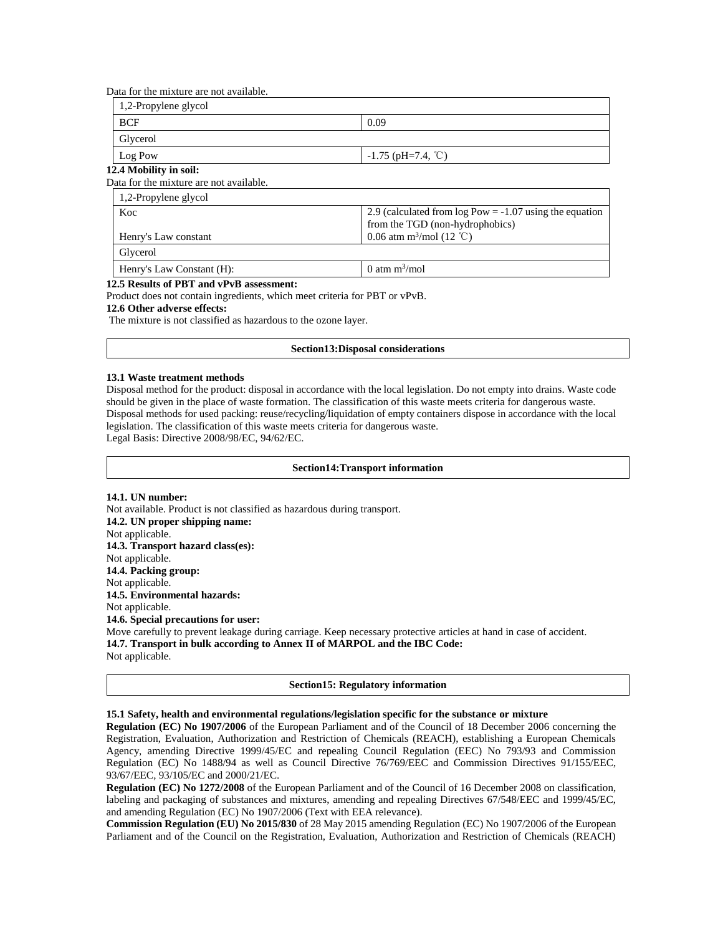Data for the mixture are not available.

| 1,2-Propylene glycol |                      |  |
|----------------------|----------------------|--|
| BCF                  | 0.09                 |  |
| <b>Glycerol</b>      |                      |  |
| Log Pow              | $-1.75$ (pH=7.4, °C) |  |

### **12.4 Mobility in soil:**

Data for the mixture are not available.

| 1,2-Propylene glycol      |                                                                                              |  |
|---------------------------|----------------------------------------------------------------------------------------------|--|
| Koc                       | 2.9 (calculated from $log Pow = -1.07$ using the equation<br>from the TGD (non-hydrophobics) |  |
| Henry's Law constant      | 0.06 atm m <sup>3</sup> /mol (12 °C)                                                         |  |
| Glycerol                  |                                                                                              |  |
| Henry's Law Constant (H): | 0 atm $m^3$ /mol                                                                             |  |

#### **12.5 Results of PBT and vPvB assessment:**

Product does not contain ingredients, which meet criteria for PBT or vPvB.

#### **12.6 Other adverse effects:**

The mixture is not classified as hazardous to the ozone layer.

#### **Section13:Disposal considerations**

#### **13.1 Waste treatment methods**

Disposal method for the product: disposal in accordance with the local legislation. Do not empty into drains. Waste code should be given in the place of waste formation. The classification of this waste meets criteria for dangerous waste. Disposal methods for used packing: reuse/recycling/liquidation of empty containers dispose in accordance with the local legislation. The classification of this waste meets criteria for dangerous waste. Legal Basis: Directive 2008/98/EC, 94/62/EC.

#### **Section14:Transport information**

**14.1. UN number:** Not available. Product is not classified as hazardous during transport. **14.2. UN proper shipping name:**  Not applicable. **14.3. Transport hazard class(es):**  Not applicable. **14.4. Packing group:**  Not applicable. **14.5. Environmental hazards:**  Not applicable. **14.6. Special precautions for user:**  Move carefully to prevent leakage during carriage. Keep necessary protective articles at hand in case of accident. **14.7. Transport in bulk according to Annex II of MARPOL and the IBC Code:**  Not applicable.

#### **Section15: Regulatory information**

## **15.1 Safety, health and environmental regulations/legislation specific for the substance or mixture**

**Regulation (EC) No 1907/2006** of the European Parliament and of the Council of 18 December 2006 concerning the Registration, Evaluation, Authorization and Restriction of Chemicals (REACH), establishing a European Chemicals Agency, amending Directive 1999/45/EC and repealing Council Regulation (EEC) No 793/93 and Commission Regulation (EC) No 1488/94 as well as Council Directive 76/769/EEC and Commission Directives 91/155/EEC, 93/67/EEC, 93/105/EC and 2000/21/EC.

**Regulation (EC) No 1272/2008** of the European Parliament and of the Council of 16 December 2008 on classification, labeling and packaging of substances and mixtures, amending and repealing Directives 67/548/EEC and 1999/45/EC, and amending Regulation (EC) No 1907/2006 (Text with EEA relevance).

**Commission Regulation (EU) No 2015/830** of 28 May 2015 amending Regulation (EC) No 1907/2006 of the European Parliament and of the Council on the Registration, Evaluation, Authorization and Restriction of Chemicals (REACH)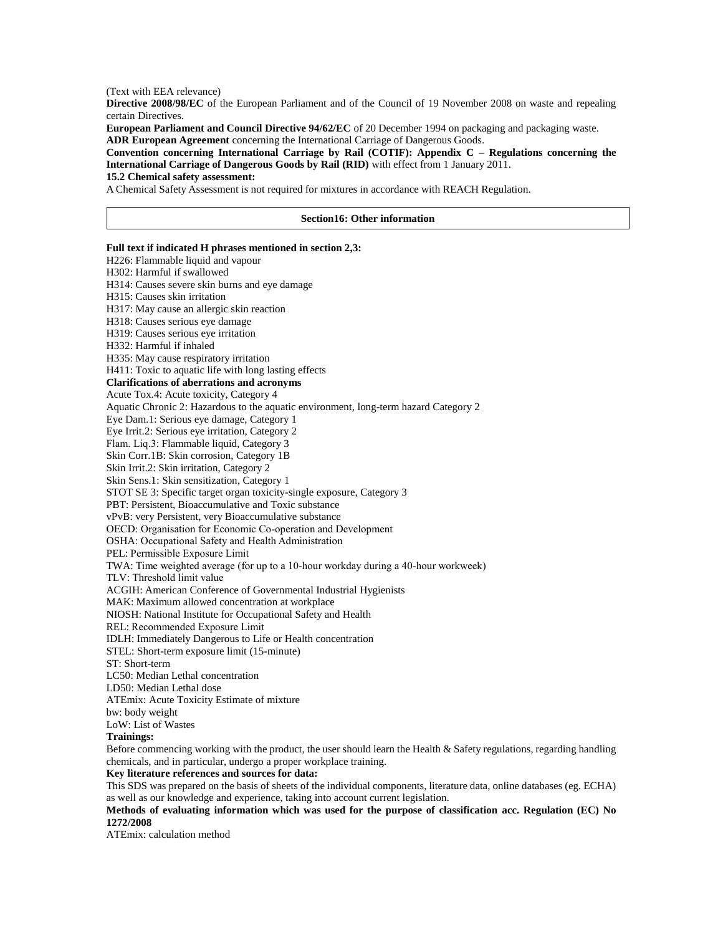(Text with EEA relevance)

**Directive 2008/98/EC** of the European Parliament and of the Council of 19 November 2008 on waste and repealing certain Directives.

**European Parliament and Council Directive 94/62/EC** of 20 December 1994 on packaging and packaging waste. **ADR European Agreement** concerning the International Carriage of Dangerous Goods.

**Convention concerning International Carriage by Rail (COTIF): Appendix C – Regulations concerning the International Carriage of Dangerous Goods by Rail (RID)** with effect from 1 January 2011.

## **15.2 Chemical safety assessment:**

A Chemical Safety Assessment is not required for mixtures in accordance with REACH Regulation.

#### **Section16: Other information**

### **Full text if indicated H phrases mentioned in section 2,3:**

H226: Flammable liquid and vapour H302: Harmful if swallowed H314: Causes severe skin burns and eye damage H315: Causes skin irritation H317: May cause an allergic skin reaction H318: Causes serious eye damage H319: Causes serious eye irritation H332: Harmful if inhaled H335: May cause respiratory irritation H411: Toxic to aquatic life with long lasting effects **Clarifications of aberrations and acronyms** Acute Tox.4: Acute toxicity, Category 4 Aquatic Chronic 2: Hazardous to the aquatic environment, long-term hazard Category 2 Eye Dam.1: Serious eye damage, Category 1 Eye Irrit.2: Serious eye irritation, Category 2 Flam. Liq.3: Flammable liquid, Category 3 Skin Corr.1B: Skin corrosion, Category 1B Skin Irrit.2: Skin irritation, Category 2 Skin Sens.1: Skin sensitization, Category 1 STOT SE 3: Specific target organ toxicity-single exposure, Category 3 PBT: Persistent, Bioaccumulative and Toxic substance vPvB: very Persistent, very Bioaccumulative substance OECD: Organisation for Economic Co-operation and Development OSHA: Occupational Safety and Health Administration PEL: Permissible Exposure Limit TWA: Time weighted average (for up to a 10-hour workday during a 40-hour workweek) TLV: Threshold limit value ACGIH: American Conference of Governmental Industrial Hygienists MAK: Maximum allowed concentration at workplace NIOSH: National Institute for Occupational Safety and Health REL: Recommended Exposure Limit IDLH: Immediately Dangerous to Life or Health concentration STEL: Short-term exposure limit (15-minute) ST: Short-term LC50: Median Lethal concentration LD50: Median Lethal dose ATEmix: Acute Toxicity Estimate of mixture bw: body weight LoW: List of Wastes **Trainings:**

Before commencing working with the product, the user should learn the Health & Safety regulations, regarding handling chemicals, and in particular, undergo a proper workplace training.

## **Key literature references and sources for data:**

This SDS was prepared on the basis of sheets of the individual components, literature data, online databases (eg. ECHA) as well as our knowledge and experience, taking into account current legislation.

**Methods of evaluating information which was used for the purpose of classification acc. Regulation (EC) No 1272/2008**

ATEmix: calculation method